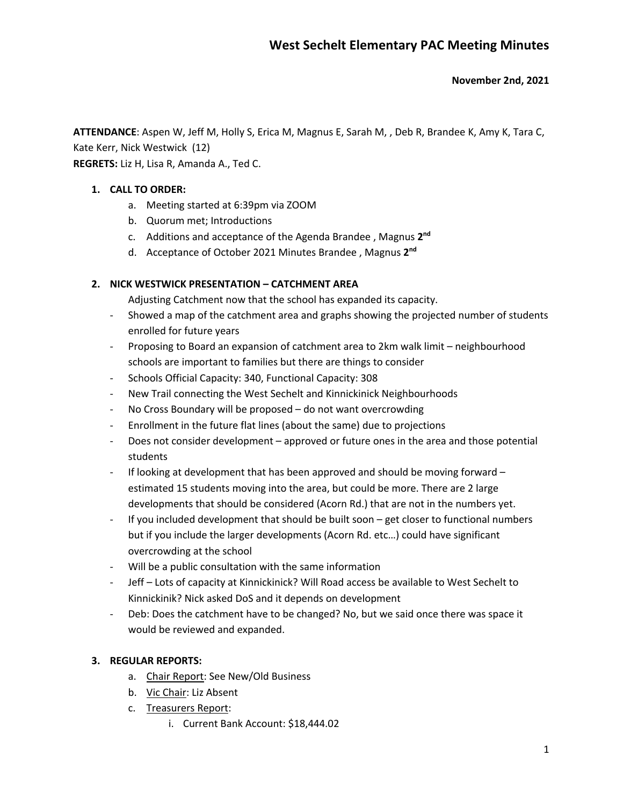#### **November 2nd, 2021**

**ATTENDANCE**: Aspen W, Jeff M, Holly S, Erica M, Magnus E, Sarah M, , Deb R, Brandee K, Amy K, Tara C, Kate Kerr, Nick Westwick (12)

**REGRETS:** Liz H, Lisa R, Amanda A., Ted C.

### **1. CALL TO ORDER:**

- a. Meeting started at 6:39pm via ZOOM
- b. Quorum met; Introductions
- c. Additions and acceptance of the Agenda Brandee , Magnus **2nd**
- d. Acceptance of October 2021 Minutes Brandee , Magnus **2nd**

### **2. NICK WESTWICK PRESENTATION – CATCHMENT AREA**

Adjusting Catchment now that the school has expanded its capacity.

- Showed a map of the catchment area and graphs showing the projected number of students enrolled for future years
- Proposing to Board an expansion of catchment area to 2km walk limit neighbourhood schools are important to families but there are things to consider
- Schools Official Capacity: 340, Functional Capacity: 308
- New Trail connecting the West Sechelt and Kinnickinick Neighbourhoods
- No Cross Boundary will be proposed do not want overcrowding
- Enrollment in the future flat lines (about the same) due to projections
- Does not consider development approved or future ones in the area and those potential students
- If looking at development that has been approved and should be moving forward  $$ estimated 15 students moving into the area, but could be more. There are 2 large developments that should be considered (Acorn Rd.) that are not in the numbers yet.
- If you included development that should be built soon get closer to functional numbers but if you include the larger developments (Acorn Rd. etc…) could have significant overcrowding at the school
- Will be a public consultation with the same information
- Jeff Lots of capacity at Kinnickinick? Will Road access be available to West Sechelt to Kinnickinik? Nick asked DoS and it depends on development
- Deb: Does the catchment have to be changed? No, but we said once there was space it would be reviewed and expanded.

# **3. REGULAR REPORTS:**

- a. Chair Report: See New/Old Business
- b. Vic Chair: Liz Absent
- c. Treasurers Report:
	- i. Current Bank Account: \$18,444.02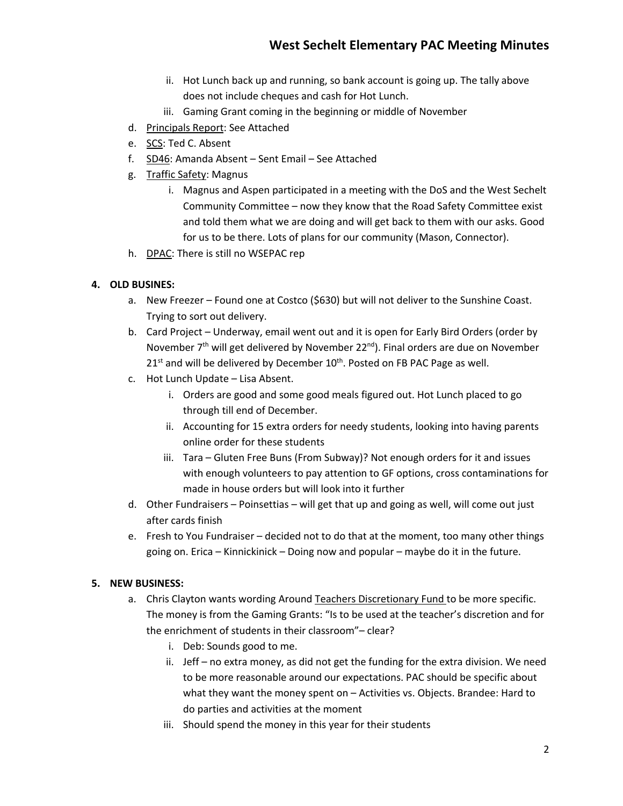- ii. Hot Lunch back up and running, so bank account is going up. The tally above does not include cheques and cash for Hot Lunch.
- iii. Gaming Grant coming in the beginning or middle of November
- d. Principals Report: See Attached
- e. SCS: Ted C. Absent
- f. SD46: Amanda Absent Sent Email See Attached
- g. Traffic Safety: Magnus
	- i. Magnus and Aspen participated in a meeting with the DoS and the West Sechelt Community Committee – now they know that the Road Safety Committee exist and told them what we are doing and will get back to them with our asks. Good for us to be there. Lots of plans for our community (Mason, Connector).
- h. DPAC: There is still no WSEPAC rep

# **4. OLD BUSINES:**

- a. New Freezer Found one at Costco (\$630) but will not deliver to the Sunshine Coast. Trying to sort out delivery.
- b. Card Project Underway, email went out and it is open for Early Bird Orders (order by November  $7<sup>th</sup>$  will get delivered by November 22<sup>nd</sup>). Final orders are due on November  $21<sup>st</sup>$  and will be delivered by December  $10<sup>th</sup>$ . Posted on FB PAC Page as well.
- c. Hot Lunch Update Lisa Absent.
	- i. Orders are good and some good meals figured out. Hot Lunch placed to go through till end of December.
	- ii. Accounting for 15 extra orders for needy students, looking into having parents online order for these students
	- iii. Tara Gluten Free Buns (From Subway)? Not enough orders for it and issues with enough volunteers to pay attention to GF options, cross contaminations for made in house orders but will look into it further
- d. Other Fundraisers Poinsettias will get that up and going as well, will come out just after cards finish
- e. Fresh to You Fundraiser decided not to do that at the moment, too many other things going on. Erica – Kinnickinick – Doing now and popular – maybe do it in the future.

# **5. NEW BUSINESS:**

- a. Chris Clayton wants wording Around Teachers Discretionary Fund to be more specific. The money is from the Gaming Grants: "Is to be used at the teacher's discretion and for the enrichment of students in their classroom"– clear?
	- i. Deb: Sounds good to me.
	- ii. Jeff no extra money, as did not get the funding for the extra division. We need to be more reasonable around our expectations. PAC should be specific about what they want the money spent on – Activities vs. Objects. Brandee: Hard to do parties and activities at the moment
	- iii. Should spend the money in this year for their students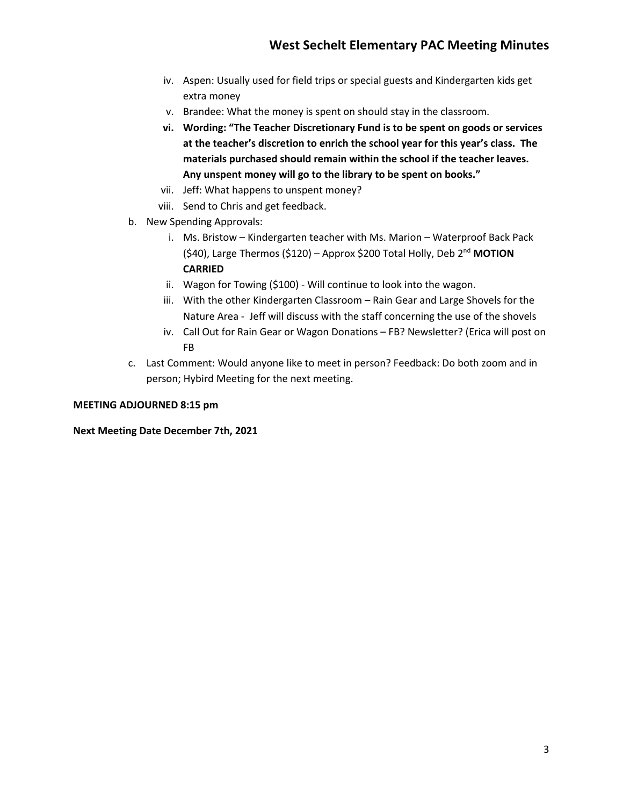- iv. Aspen: Usually used for field trips or special guests and Kindergarten kids get extra money
- v. Brandee: What the money is spent on should stay in the classroom.
- **vi. Wording: "The Teacher Discretionary Fund is to be spent on goods or services at the teacher's discretion to enrich the school year for this year's class. The materials purchased should remain within the school if the teacher leaves. Any unspent money will go to the library to be spent on books."**
- vii. Jeff: What happens to unspent money?
- viii. Send to Chris and get feedback.
- b. New Spending Approvals:
	- i. Ms. Bristow Kindergarten teacher with Ms. Marion Waterproof Back Pack (\$40), Large Thermos (\$120) – Approx \$200 Total Holly, Deb 2nd **MOTION CARRIED**
	- ii. Wagon for Towing (\$100) Will continue to look into the wagon.
	- iii. With the other Kindergarten Classroom Rain Gear and Large Shovels for the Nature Area - Jeff will discuss with the staff concerning the use of the shovels
	- iv. Call Out for Rain Gear or Wagon Donations FB? Newsletter? (Erica will post on FB
- c. Last Comment: Would anyone like to meet in person? Feedback: Do both zoom and in person; Hybird Meeting for the next meeting.

#### **MEETING ADJOURNED 8:15 pm**

#### **Next Meeting Date December 7th, 2021**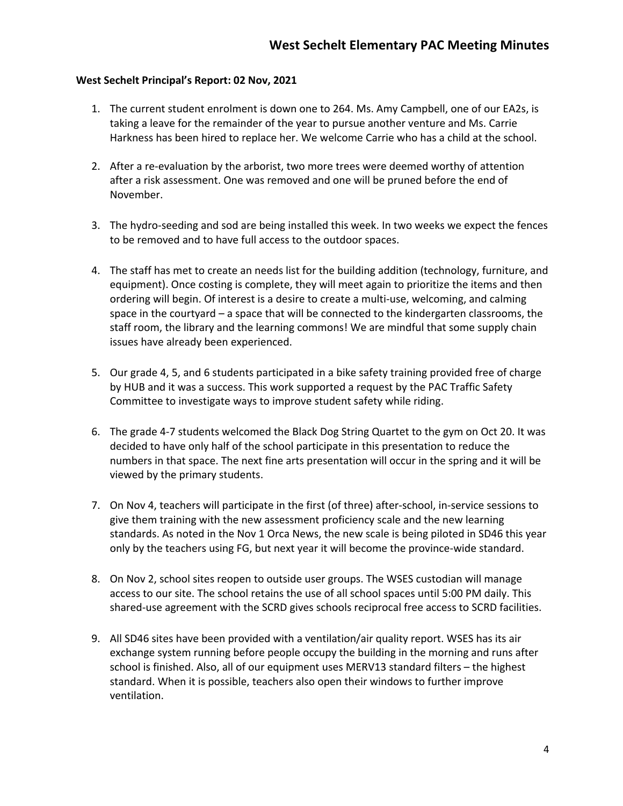### **West Sechelt Principal's Report: 02 Nov, 2021**

- 1. The current student enrolment is down one to 264. Ms. Amy Campbell, one of our EA2s, is taking a leave for the remainder of the year to pursue another venture and Ms. Carrie Harkness has been hired to replace her. We welcome Carrie who has a child at the school.
- 2. After a re-evaluation by the arborist, two more trees were deemed worthy of attention after a risk assessment. One was removed and one will be pruned before the end of November.
- 3. The hydro-seeding and sod are being installed this week. In two weeks we expect the fences to be removed and to have full access to the outdoor spaces.
- 4. The staff has met to create an needs list for the building addition (technology, furniture, and equipment). Once costing is complete, they will meet again to prioritize the items and then ordering will begin. Of interest is a desire to create a multi-use, welcoming, and calming space in the courtyard – a space that will be connected to the kindergarten classrooms, the staff room, the library and the learning commons! We are mindful that some supply chain issues have already been experienced.
- 5. Our grade 4, 5, and 6 students participated in a bike safety training provided free of charge by HUB and it was a success. This work supported a request by the PAC Traffic Safety Committee to investigate ways to improve student safety while riding.
- 6. The grade 4-7 students welcomed the Black Dog String Quartet to the gym on Oct 20. It was decided to have only half of the school participate in this presentation to reduce the numbers in that space. The next fine arts presentation will occur in the spring and it will be viewed by the primary students.
- 7. On Nov 4, teachers will participate in the first (of three) after-school, in-service sessions to give them training with the new assessment proficiency scale and the new learning standards. As noted in the Nov 1 Orca News, the new scale is being piloted in SD46 this year only by the teachers using FG, but next year it will become the province-wide standard.
- 8. On Nov 2, school sites reopen to outside user groups. The WSES custodian will manage access to our site. The school retains the use of all school spaces until 5:00 PM daily. This shared-use agreement with the SCRD gives schools reciprocal free access to SCRD facilities.
- 9. All SD46 sites have been provided with a ventilation/air quality report. WSES has its air exchange system running before people occupy the building in the morning and runs after school is finished. Also, all of our equipment uses MERV13 standard filters – the highest standard. When it is possible, teachers also open their windows to further improve ventilation.